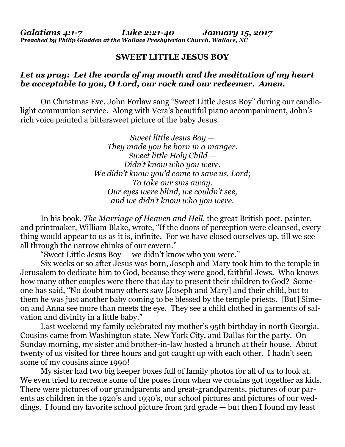*Galatians 4:1-7 Luke 2:21-40 January 15, 2017 Preached by Philip Gladden at the Wallace Presbyterian Church, Wallace, NC*

## **SWEET LITTLE JESUS BOY**

## *Let us pray: Let the words of my mouth and the meditation of my heart be acceptable to you, O Lord, our rock and our redeemer. Amen.*

On Christmas Eve, John Forlaw sang "Sweet Little Jesus Boy" during our candlelight communion service. Along with Vera's beautiful piano accompaniment, John's rich voice painted a bittersweet picture of the baby Jesus.

> *Sweet little Jesus Boy — They made you be born in a manger. Sweet little Holy Child — Didn't know who you were. We didn't know you'd come to save us, Lord; To take our sins away. Our eyes were blind, we couldn't see, and we didn't know who you were.*

In his book, *The Marriage of Heaven and Hell*, the great British poet, painter, and printmaker, William Blake, wrote, "If the doors of perception were cleansed, everything would appear to us as it is, infinite. For we have closed ourselves up, till we see all through the narrow chinks of our cavern."

"Sweet Little Jesus Boy — we didn't know who you were."

Six weeks or so after Jesus was born, Joseph and Mary took him to the temple in Jerusalem to dedicate him to God, because they were good, faithful Jews. Who knows how many other couples were there that day to present their children to God? Someone has said, "No doubt many others saw [Joseph and Mary] and their child, but to them he was just another baby coming to be blessed by the temple priests. [But] Simeon and Anna see more than meets the eye. They see a child clothed in garments of salvation and divinity in a little baby."

Last weekend my family celebrated my mother's 95th birthday in north Georgia. Cousins came from Washington state, New York City, and Dallas for the party. On Sunday morning, my sister and brother-in-law hosted a brunch at their house. About twenty of us visited for three hours and got caught up with each other. I hadn't seen some of my cousins since 1990!

My sister had two big keeper boxes full of family photos for all of us to look at. We even tried to recreate some of the poses from when we cousins got together as kids. There were pictures of our grandparents and great-grandparents, pictures of our parents as children in the 1920's and 1930's, our school pictures and pictures of our weddings. I found my favorite school picture from 3rd grade — but then I found my least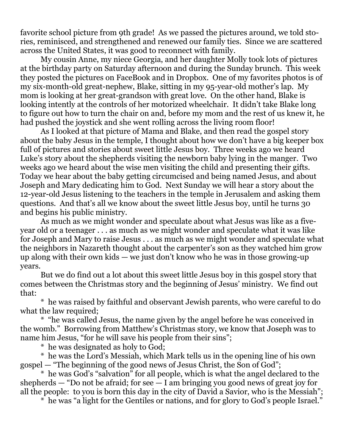favorite school picture from 9th grade! As we passed the pictures around, we told stories, reminisced, and strengthened and renewed our family ties. Since we are scattered across the United States, it was good to reconnect with family.

My cousin Anne, my niece Georgia, and her daughter Molly took lots of pictures at the birthday party on Saturday afternoon and during the Sunday brunch. This week they posted the pictures on FaceBook and in Dropbox. One of my favorites photos is of my six-month-old great-nephew, Blake, sitting in my 95-year-old mother's lap. My mom is looking at her great-grandson with great love. On the other hand, Blake is looking intently at the controls of her motorized wheelchair. It didn't take Blake long to figure out how to turn the chair on and, before my mom and the rest of us knew it, he had pushed the joystick and she went rolling across the living room floor!

As I looked at that picture of Mama and Blake, and then read the gospel story about the baby Jesus in the temple, I thought about how we don't have a big keeper box full of pictures and stories about sweet little Jesus boy. Three weeks ago we heard Luke's story about the shepherds visiting the newborn baby lying in the manger. Two weeks ago we heard about the wise men visiting the child and presenting their gifts. Today we hear about the baby getting circumcised and being named Jesus, and about Joseph and Mary dedicating him to God. Next Sunday we will hear a story about the 12-year-old Jesus listening to the teachers in the temple in Jerusalem and asking them questions. And that's all we know about the sweet little Jesus boy, until he turns 30 and begins his public ministry.

As much as we might wonder and speculate about what Jesus was like as a fiveyear old or a teenager . . . as much as we might wonder and speculate what it was like for Joseph and Mary to raise Jesus . . . as much as we might wonder and speculate what the neighbors in Nazareth thought about the carpenter's son as they watched him grow up along with their own kids — we just don't know who he was in those growing-up years.

But we do find out a lot about this sweet little Jesus boy in this gospel story that comes between the Christmas story and the beginning of Jesus' ministry. We find out that:

\* he was raised by faithful and observant Jewish parents, who were careful to do what the law required;

\* "he was called Jesus, the name given by the angel before he was conceived in the womb." Borrowing from Matthew's Christmas story, we know that Joseph was to name him Jesus, "for he will save his people from their sins";

\* he was designated as holy to God;

\* he was the Lord's Messiah, which Mark tells us in the opening line of his own gospel — "The beginning of the good news of Jesus Christ, the Son of God";

\* he was God's "salvation" for all people, which is what the angel declared to the shepherds  $-$  "Do not be afraid; for see  $-1$  am bringing you good news of great joy for all the people: to you is born this day in the city of David a Savior, who is the Messiah";

\* he was "a light for the Gentiles or nations, and for glory to God's people Israel."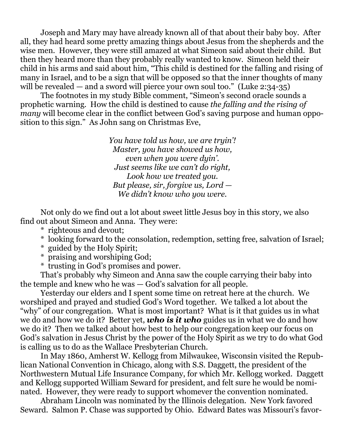Joseph and Mary may have already known all of that about their baby boy. After all, they had heard some pretty amazing things about Jesus from the shepherds and the wise men. However, they were still amazed at what Simeon said about their child. But then they heard more than they probably really wanted to know. Simeon held their child in his arms and said about him, "This child is destined for the falling and rising of many in Israel, and to be a sign that will be opposed so that the inner thoughts of many will be revealed — and a sword will pierce your own soul too." (Luke 2:34-35)

The footnotes in my study Bible comment, "Simeon's second oracle sounds a prophetic warning. How the child is destined to cause *the falling and the rising of many* will become clear in the conflict between God's saving purpose and human opposition to this sign." As John sang on Christmas Eve,

> *You have told us how, we are tryin'! Master, you have showed us how, even when you were dyin'. Just seems like we can't do right, Look how we treated you. But please, sir, forgive us, Lord — We didn't know who you were.*

Not only do we find out a lot about sweet little Jesus boy in this story, we also find out about Simeon and Anna. They were:

- \* righteous and devout;
- \* looking forward to the consolation, redemption, setting free, salvation of Israel;
- \* guided by the Holy Spirit;
- \* praising and worshiping God;
- \* trusting in God's promises and power.

That's probably why Simeon and Anna saw the couple carrying their baby into the temple and knew who he was — God's salvation for all people.

Yesterday our elders and I spent some time on retreat here at the church. We worshiped and prayed and studied God's Word together. We talked a lot about the "why" of our congregation. What is most important? What is it that guides us in what we do and how we do it? Better yet, *who is it who* guides us in what we do and how we do it? Then we talked about how best to help our congregation keep our focus on God's salvation in Jesus Christ by the power of the Holy Spirit as we try to do what God is calling us to do as the Wallace Presbyterian Church.

In May 1860, Amherst W. Kellogg from Milwaukee, Wisconsin visited the Republican National Convention in Chicago, along with S.S. Daggett, the president of the Northwestern Mutual Life Insurance Company, for which Mr. Kellogg worked. Daggett and Kellogg supported William Seward for president, and felt sure he would be nominated. However, they were ready to support whomever the convention nominated.

Abraham Lincoln was nominated by the Illinois delegation. New York favored Seward. Salmon P. Chase was supported by Ohio. Edward Bates was Missouri's favor-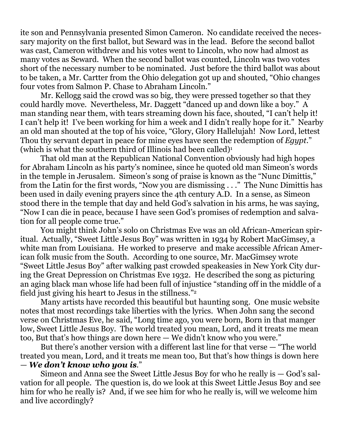ite son and Pennsylvania presented Simon Cameron. No candidate received the necessary majority on the first ballot, but Seward was in the lead. Before the second ballot was cast, Cameron withdrew and his votes went to Lincoln, who now had almost as many votes as Seward. When the second ballot was counted, Lincoln was two votes short of the necessary number to be nominated. Just before the third ballot was about to be taken, a Mr. Cartter from the Ohio delegation got up and shouted, "Ohio changes four votes from Salmon P. Chase to Abraham Lincoln."

Mr. Kellogg said the crowd was so big, they were pressed together so that they could hardly move. Nevertheless, Mr. Daggett "danced up and down like a boy." A man standing near them, with tears streaming down his face, shouted, "I can't help it! I can't help it! I've been working for him a week and I didn't really hope for it." Nearby an old man shouted at the top of his voice, "Glory, Glory Hallelujah! Now Lord, lettest Thou thy servant depart in peace for mine eyes have seen the redemption of *Egypt*." (which is what the southern third of Illinois had been called)<sup>1</sup>

That old man at the Republican National Convention obviously had high hopes for Abraham Lincoln as his party's nominee, since he quoted old man Simeon's words in the temple in Jerusalem. Simeon's song of praise is known as the "Nunc Dimittis," from the Latin for the first words, "Now you are dismissing . . ." The Nunc Dimittis has been used in daily evening prayers since the 4th century A.D. In a sense, as Simeon stood there in the temple that day and held God's salvation in his arms, he was saying, "Now I can die in peace, because I have seen God's promises of redemption and salvation for all people come true."

You might think John's solo on Christmas Eve was an old African-American spiritual. Actually, "Sweet Little Jesus Boy" was written in 1934 by Robert MacGimsey, a white man from Louisiana. He worked to preserve and make accessible African American folk music from the South. According to one source, Mr. MacGimsey wrote "Sweet Little Jesus Boy" after walking past crowded speakeasies in New York City during the Great Depression on Christmas Eve 1932. He described the song as picturing an aging black man whose life had been full of injustice "standing off in the middle of a field just giving his heart to Jesus in the stillness."<sup>2</sup>

Many artists have recorded this beautiful but haunting song. One music website notes that most recordings take liberties with the lyrics. When John sang the second verse on Christmas Eve, he said, "Long time ago, you were born, Born in that manger low, Sweet Little Jesus Boy. The world treated you mean, Lord, and it treats me mean too, But that's how things are down here — We didn't know who you were."

But there's another version with a different last line for that verse — "The world treated you mean, Lord, and it treats me mean too, But that's how things is down here — *We don't know who you is*."

Simeon and Anna see the Sweet Little Jesus Boy for who he really is — God's salvation for all people. The question is, do we look at this Sweet Little Jesus Boy and see him for who he really is? And, if we see him for who he really is, will we welcome him and live accordingly?